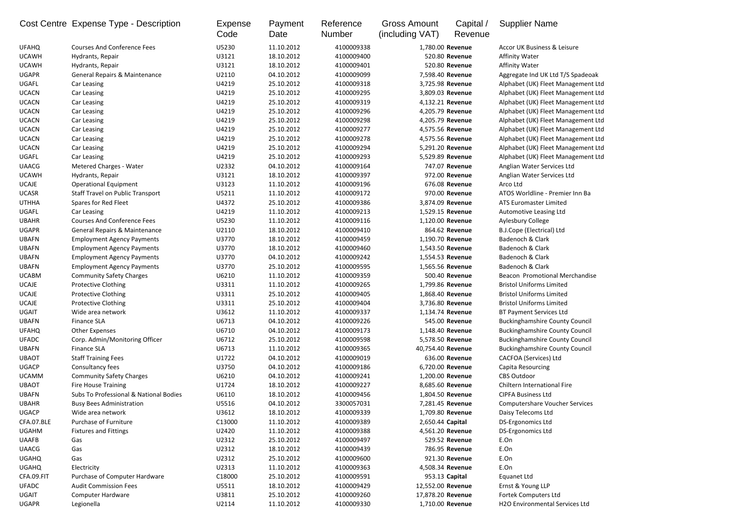|              | Cost Centre Expense Type - Description   | Expense<br>Code | Payment<br>Date | Reference<br><b>Number</b> | <b>Gross Amount</b><br>(including VAT) | Capital /<br>Revenue | <b>Supplier Name</b>                  |
|--------------|------------------------------------------|-----------------|-----------------|----------------------------|----------------------------------------|----------------------|---------------------------------------|
| <b>UFAHQ</b> | <b>Courses And Conference Fees</b>       | U5230           | 11.10.2012      | 4100009338                 |                                        | 1,780.00 Revenue     | Accor UK Business & Leisure           |
| <b>UCAWH</b> | Hydrants, Repair                         | U3121           | 18.10.2012      | 4100009400                 |                                        | 520.80 Revenue       | <b>Affinity Water</b>                 |
| <b>UCAWH</b> | Hydrants, Repair                         | U3121           | 18.10.2012      | 4100009401                 |                                        | 520.80 Revenue       | <b>Affinity Water</b>                 |
| <b>UGAPR</b> | <b>General Repairs &amp; Maintenance</b> | U2110           | 04.10.2012      | 4100009099                 |                                        | 7,598.40 Revenue     | Aggregate Ind UK Ltd T/S Spadeoak     |
| UGAFL        | Car Leasing                              | U4219           | 25.10.2012      | 4100009318                 |                                        | 3,725.98 Revenue     | Alphabet (UK) Fleet Management Ltd    |
| <b>UCACN</b> | Car Leasing                              | U4219           | 25.10.2012      | 4100009295                 |                                        | 3,809.03 Revenue     | Alphabet (UK) Fleet Management Ltd    |
| <b>UCACN</b> | Car Leasing                              | U4219           | 25.10.2012      | 4100009319                 |                                        | 4,132.21 Revenue     | Alphabet (UK) Fleet Management Ltd    |
| <b>UCACN</b> | Car Leasing                              | U4219           | 25.10.2012      | 4100009296                 |                                        | 4,205.79 Revenue     | Alphabet (UK) Fleet Management Ltd    |
| <b>UCACN</b> | Car Leasing                              | U4219           | 25.10.2012      | 4100009298                 |                                        | 4,205.79 Revenue     | Alphabet (UK) Fleet Management Ltd    |
| <b>UCACN</b> | Car Leasing                              | U4219           | 25.10.2012      | 4100009277                 |                                        | 4,575.56 Revenue     | Alphabet (UK) Fleet Management Ltd    |
| <b>UCACN</b> | Car Leasing                              | U4219           | 25.10.2012      | 4100009278                 |                                        | 4,575.56 Revenue     | Alphabet (UK) Fleet Management Ltd    |
| <b>UCACN</b> | Car Leasing                              | U4219           | 25.10.2012      | 4100009294                 |                                        | 5,291.20 Revenue     | Alphabet (UK) Fleet Management Ltd    |
| <b>UGAFL</b> | Car Leasing                              | U4219           | 25.10.2012      | 4100009293                 |                                        | 5,529.89 Revenue     | Alphabet (UK) Fleet Management Ltd    |
| <b>UAACG</b> | <b>Metered Charges - Water</b>           | U2332           | 04.10.2012      | 4100009164                 |                                        | 747.07 Revenue       | Anglian Water Services Ltd            |
| <b>UCAWH</b> | Hydrants, Repair                         | U3121           | 18.10.2012      | 4100009397                 |                                        | 972.00 Revenue       | Anglian Water Services Ltd            |
| <b>UCAJE</b> | <b>Operational Equipment</b>             | U3123           | 11.10.2012      | 4100009196                 |                                        | 676.08 Revenue       | Arco Ltd                              |
| <b>UCASR</b> | <b>Staff Travel on Public Transport</b>  | U5211           | 11.10.2012      | 4100009172                 |                                        | 970.00 Revenue       | ATOS Worldline - Premier Inn Ba       |
| <b>UTHHA</b> | Spares for Red Fleet                     | U4372           | 25.10.2012      | 4100009386                 |                                        | 3,874.09 Revenue     | <b>ATS Euromaster Limited</b>         |
| UGAFL        | Car Leasing                              | U4219           | 11.10.2012      | 4100009213                 |                                        | 1,529.15 Revenue     | Automotive Leasing Ltd                |
| <b>UBAHR</b> | <b>Courses And Conference Fees</b>       | U5230           | 11.10.2012      | 4100009116                 |                                        | 1,120.00 Revenue     | Aylesbury College                     |
| <b>UGAPR</b> | General Repairs & Maintenance            | U2110           | 18.10.2012      | 4100009410                 |                                        | 864.62 Revenue       | B.J.Cope (Electrical) Ltd             |
| <b>UBAFN</b> | <b>Employment Agency Payments</b>        | U3770           | 18.10.2012      | 4100009459                 |                                        | 1,190.70 Revenue     | Badenoch & Clark                      |
| <b>UBAFN</b> | <b>Employment Agency Payments</b>        | U3770           | 18.10.2012      | 4100009460                 |                                        | 1,543.50 Revenue     | Badenoch & Clark                      |
| <b>UBAFN</b> | <b>Employment Agency Payments</b>        | U3770           | 04.10.2012      | 4100009242                 |                                        | 1,554.53 Revenue     | Badenoch & Clark                      |
| <b>UBAFN</b> | <b>Employment Agency Payments</b>        | U3770           | 25.10.2012      | 4100009595                 |                                        | 1,565.56 Revenue     | Badenoch & Clark                      |
| <b>UCABM</b> | <b>Community Safety Charges</b>          | U6210           | 11.10.2012      | 4100009359                 |                                        | 500.40 Revenue       | Beacon Promotional Merchandise        |
| <b>UCAJE</b> | Protective Clothing                      | U3311           | 11.10.2012      | 4100009265                 |                                        | 1,799.86 Revenue     | <b>Bristol Uniforms Limited</b>       |
| <b>UCAJE</b> | <b>Protective Clothing</b>               | U3311           | 25.10.2012      | 4100009405                 |                                        | 1,868.40 Revenue     | <b>Bristol Uniforms Limited</b>       |
| <b>UCAJE</b> | <b>Protective Clothing</b>               | U3311           | 25.10.2012      | 4100009404                 |                                        | 3,736.80 Revenue     | <b>Bristol Uniforms Limited</b>       |
| <b>UGAIT</b> | Wide area network                        | U3612           | 11.10.2012      | 4100009337                 |                                        | 1,134.74 Revenue     | BT Payment Services Ltd               |
| <b>UBAFN</b> | <b>Finance SLA</b>                       | U6713           | 04.10.2012      | 4100009226                 |                                        | 545.00 Revenue       | <b>Buckinghamshire County Council</b> |
| <b>UFAHQ</b> | <b>Other Expenses</b>                    | U6710           | 04.10.2012      | 4100009173                 |                                        | 1,148.40 Revenue     | <b>Buckinghamshire County Council</b> |
| <b>UFADC</b> | Corp. Admin/Monitoring Officer           | U6712           | 25.10.2012      | 4100009598                 |                                        | 5,578.50 Revenue     | <b>Buckinghamshire County Council</b> |
| <b>UBAFN</b> | Finance SLA                              | U6713           | 11.10.2012      | 4100009365                 | 40,754.40 Revenue                      |                      | <b>Buckinghamshire County Council</b> |
| <b>UBAOT</b> | <b>Staff Training Fees</b>               | U1722           | 04.10.2012      | 4100009019                 |                                        | 636.00 Revenue       | <b>CACFOA (Services) Ltd</b>          |
| <b>UGACP</b> | Consultancy fees                         | U3750           | 04.10.2012      | 4100009186                 |                                        | 6,720.00 Revenue     | Capita Resourcing                     |
| <b>UCAMM</b> | <b>Community Safety Charges</b>          | U6210           | 04.10.2012      | 4100009241                 |                                        | 1,200.00 Revenue     | <b>CBS Outdoor</b>                    |
| <b>UBAOT</b> | <b>Fire House Training</b>               | U1724           | 18.10.2012      | 4100009227                 |                                        | 8,685.60 Revenue     | Chiltern International Fire           |
| <b>UBAFN</b> | Subs To Professional & National Bodies   | U6110           | 18.10.2012      | 4100009456                 |                                        | 1,804.50 Revenue     | <b>CIPFA Business Ltd</b>             |
| <b>UBAHR</b> | <b>Busy Bees Administration</b>          | U5516           | 04.10.2012      | 3300057031                 |                                        | 7,281.45 Revenue     | <b>Computershare Voucher Services</b> |
| <b>UGACP</b> | Wide area network                        | U3612           | 18.10.2012      | 4100009339                 |                                        | 1,709.80 Revenue     | Daisy Telecoms Ltd                    |
| CFA.07.BLE   | Purchase of Furniture                    | C13000          | 11.10.2012      | 4100009389                 | 2,650.44 Capital                       |                      | <b>DS-Ergonomics Ltd</b>              |
| <b>UGAHM</b> | <b>Fixtures and Fittings</b>             | U2420           | 11.10.2012      | 4100009388                 |                                        | 4,561.20 Revenue     | <b>DS-Ergonomics Ltd</b>              |
| <b>UAAFB</b> | Gas                                      | U2312           | 25.10.2012      | 4100009497                 |                                        | 529.52 Revenue       | E.On                                  |
| <b>UAACG</b> | Gas                                      | U2312           | 18.10.2012      | 4100009439                 |                                        | 786.95 Revenue       | E.On                                  |
| <b>UGAHQ</b> | Gas                                      | U2312           | 25.10.2012      | 4100009600                 |                                        | 921.30 Revenue       | E.On                                  |
| <b>UGAHQ</b> | Electricity                              | U2313           | 11.10.2012      | 4100009363                 |                                        | 4,508.34 Revenue     | E.On                                  |
| CFA.09.FIT   | Purchase of Computer Hardware            | C18000          | 25.10.2012      | 4100009591                 |                                        | 953.13 Capital       | <b>Equanet Ltd</b>                    |
| <b>UFADC</b> | <b>Audit Commission Fees</b>             | U5511           | 18.10.2012      | 4100009429                 | 12,552.00 Revenue                      |                      | Ernst & Young LLP                     |
| <b>UGAIT</b> | <b>Computer Hardware</b>                 | U3811           | 25.10.2012      | 4100009260                 | 17,878.20 Revenue                      |                      | Fortek Computers Ltd                  |
| <b>UGAPR</b> | Legionella                               | U2114           | 11.10.2012      | 4100009330                 |                                        | 1,710.00 Revenue     | H2O Environmental Services Ltd        |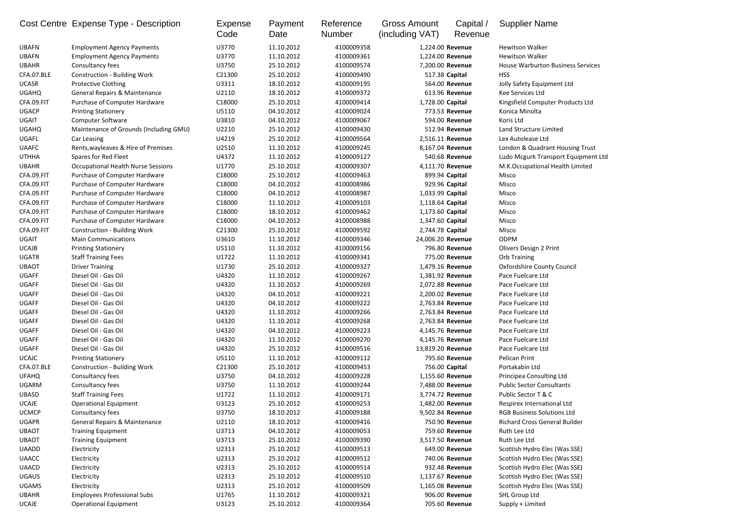|              | Cost Centre Expense Type - Description    | Expense<br>Code | Payment<br>Date | Reference<br><b>Number</b> | <b>Gross Amount</b><br>(including VAT) | Capital /<br>Revenue | <b>Supplier Name</b>                     |
|--------------|-------------------------------------------|-----------------|-----------------|----------------------------|----------------------------------------|----------------------|------------------------------------------|
| <b>UBAFN</b> | <b>Employment Agency Payments</b>         | U3770           | 11.10.2012      | 4100009358                 |                                        | 1,224.00 Revenue     | <b>Hewitson Walker</b>                   |
| <b>UBAFN</b> | <b>Employment Agency Payments</b>         | U3770           | 11.10.2012      | 4100009361                 |                                        | 1,224.00 Revenue     | <b>Hewitson Walker</b>                   |
| <b>UBAHR</b> | Consultancy fees                          | U3750           | 25.10.2012      | 4100009574                 |                                        | 7,200.00 Revenue     | <b>House Warburton Business Services</b> |
| CFA.07.BLE   | <b>Construction - Building Work</b>       | C21300          | 25.10.2012      | 4100009490                 |                                        | 517.38 Capital       | <b>HSS</b>                               |
| <b>UCASR</b> | Protective Clothing                       | U3311           | 18.10.2012      | 4100009195                 |                                        | 564.00 Revenue       | Jolly Safety Equipment Ltd               |
| <b>UGAHQ</b> | <b>General Repairs &amp; Maintenance</b>  | U2110           | 18.10.2012      | 4100009372                 |                                        | 613.96 Revenue       | Kee Services Ltd                         |
| CFA.09.FIT   | Purchase of Computer Hardware             | C18000          | 25.10.2012      | 4100009414                 | 1,728.00 Capital                       |                      | Kingsfield Computer Products Ltd         |
| <b>UGACP</b> | <b>Printing Stationery</b>                | U5110           | 04.10.2012      | 4100009024                 |                                        | 773.53 Revenue       | Konica Minolta                           |
| <b>UGAIT</b> | Computer Software                         | U3810           | 04.10.2012      | 4100009067                 |                                        | 594.00 Revenue       | Koris Ltd                                |
| <b>UGAHQ</b> | Maintenance of Grounds (Including GMU)    | U2210           | 25.10.2012      | 4100009430                 |                                        | 512.94 Revenue       | Land Structure Limited                   |
| <b>UGAFL</b> | Car Leasing                               | U4219           | 25.10.2012      | 4100009564                 |                                        | 2,516.11 Revenue     | Lex Autolease Ltd                        |
| <b>UAAFC</b> | Rents, wayleaves & Hire of Premises       | U2510           | 11.10.2012      | 4100009245                 |                                        | 8,167.04 Revenue     | London & Quadrant Housing Trust          |
| <b>UTHHA</b> | Spares for Red Fleet                      | U4372           | 11.10.2012      | 4100009127                 |                                        | 540.68 Revenue       | Ludo Mcgurk Transport Equipment Ltd      |
| <b>UBAHR</b> | <b>Occupational Health Nurse Sessions</b> | U1770           | 25.10.2012      | 4100009307                 |                                        | 4,111.70 Revenue     | M.K.Occupational Health Limited          |
| CFA.09.FIT   | Purchase of Computer Hardware             | C18000          | 25.10.2012      | 4100009463                 |                                        | 899.94 Capital       | Misco                                    |
| CFA.09.FIT   | Purchase of Computer Hardware             | C18000          | 04.10.2012      | 4100008986                 |                                        | 929.96 Capital       | Misco                                    |
| CFA.09.FIT   | Purchase of Computer Hardware             | C18000          | 04.10.2012      | 4100008987                 | 1,033.99 Capital                       |                      | Misco                                    |
| CFA.09.FIT   | Purchase of Computer Hardware             | C18000          | 11.10.2012      | 4100009103                 | 1,118.64 Capital                       |                      | Misco                                    |
| CFA.09.FIT   | Purchase of Computer Hardware             | C18000          | 18.10.2012      | 4100009462                 | 1,173.60 Capital                       |                      | Misco                                    |
| CFA.09.FIT   | Purchase of Computer Hardware             | C18000          | 04.10.2012      | 4100008988                 | 1,347.60 Capital                       |                      | Misco                                    |
| CFA.09.FIT   | <b>Construction - Building Work</b>       | C21300          | 25.10.2012      | 4100009592                 | 2,744.78 Capital                       |                      | Misco                                    |
| <b>UGAIT</b> | <b>Main Communications</b>                | U3610           | 11.10.2012      | 4100009346                 | 24,006.20 Revenue                      |                      | <b>ODPM</b>                              |
| <b>UCAJB</b> | <b>Printing Stationery</b>                | U5110           | 11.10.2012      | 4100009156                 |                                        | 796.80 Revenue       | Olivers Design 2 Print                   |
| <b>UGATR</b> | <b>Staff Training Fees</b>                | U1722           | 11.10.2012      | 4100009341                 |                                        | 775.00 Revenue       | Orb Training                             |
| <b>UBAOT</b> | <b>Driver Training</b>                    | U1730           | 25.10.2012      | 4100009327                 |                                        | 1,479.16 Revenue     | <b>Oxfordshire County Council</b>        |
| <b>UGAFF</b> | Diesel Oil - Gas Oil                      | U4320           | 11.10.2012      | 4100009267                 |                                        | 1,381.92 Revenue     | Pace Fuelcare Ltd                        |
| <b>UGAFF</b> | Diesel Oil - Gas Oil                      | U4320           | 11.10.2012      | 4100009269                 |                                        | 2,072.88 Revenue     | Pace Fuelcare Ltd                        |
| <b>UGAFF</b> | Diesel Oil - Gas Oil                      | U4320           | 04.10.2012      | 4100009221                 |                                        | 2,200.02 Revenue     | Pace Fuelcare Ltd                        |
| <b>UGAFF</b> | Diesel Oil - Gas Oil                      | U4320           | 04.10.2012      | 4100009222                 |                                        | 2,763.84 Revenue     | Pace Fuelcare Ltd                        |
| <b>UGAFF</b> | Diesel Oil - Gas Oil                      | U4320           | 11.10.2012      | 4100009266                 |                                        | 2,763.84 Revenue     | Pace Fuelcare Ltd                        |
| <b>UGAFF</b> | Diesel Oil - Gas Oil                      | U4320           | 11.10.2012      | 4100009268                 |                                        | 2,763.84 Revenue     | Pace Fuelcare Ltd                        |
| UGAFF        | Diesel Oil - Gas Oil                      | U4320           | 04.10.2012      | 4100009223                 |                                        | 4,145.76 Revenue     | Pace Fuelcare Ltd                        |
| <b>UGAFF</b> | Diesel Oil - Gas Oil                      | U4320           | 11.10.2012      | 4100009270                 |                                        | 4,145.76 Revenue     | Pace Fuelcare Ltd                        |
| <b>UGAFF</b> | Diesel Oil - Gas Oil                      | U4320           | 25.10.2012      | 4100009516                 | 13,819.20 Revenue                      |                      | Pace Fuelcare Ltd                        |
| <b>UCAJC</b> | <b>Printing Stationery</b>                | U5110           | 11.10.2012      | 4100009112                 |                                        | 795.60 Revenue       | Pelican Print                            |
| CFA.07.BLE   | <b>Construction - Building Work</b>       | C21300          | 25.10.2012      | 4100009453                 |                                        | 756.00 Capital       | Portakabin Ltd                           |
| <b>UFAHQ</b> | Consultancy fees                          | U3750           | 04.10.2012      | 4100009228                 |                                        | 1,155.60 Revenue     | Principea Consulting Ltd                 |
| <b>UGARM</b> | Consultancy fees                          | U3750           | 11.10.2012      | 4100009244                 |                                        | 7,488.00 Revenue     | <b>Public Sector Consultants</b>         |
| <b>UBASD</b> | <b>Staff Training Fees</b>                | U1722           | 11.10.2012      | 4100009171                 |                                        | 3,774.72 Revenue     | Public Sector T & C                      |
| <b>UCAJE</b> | <b>Operational Equipment</b>              | U3123           | 25.10.2012      | 4100009253                 |                                        | 1,482.00 Revenue     | Respirex International Ltd               |
| <b>UCMCP</b> | Consultancy fees                          | U3750           | 18.10.2012      | 4100009188                 |                                        | 9,502.84 Revenue     | <b>RGB Business Solutions Ltd</b>        |
| <b>UGAPR</b> | <b>General Repairs &amp; Maintenance</b>  | U2110           | 18.10.2012      | 4100009416                 |                                        | 750.90 Revenue       | <b>Richard Cross General Builder</b>     |
| <b>UBAOT</b> | <b>Training Equipment</b>                 | U3713           | 04.10.2012      | 4100009053                 |                                        | 759.60 Revenue       | Ruth Lee Ltd                             |
| <b>UBAOT</b> | <b>Training Equipment</b>                 | U3713           | 25.10.2012      | 4100009390                 |                                        | 3,517.50 Revenue     | Ruth Lee Ltd                             |
| <b>UAADD</b> | Electricity                               | U2313           | 25.10.2012      | 4100009513                 |                                        | 649.00 Revenue       | Scottish Hydro Elec (Was SSE)            |
| <b>UAACC</b> | Electricity                               | U2313           | 25.10.2012      | 4100009512                 |                                        | 740.06 Revenue       | Scottish Hydro Elec (Was SSE)            |
| <b>UAACD</b> | Electricity                               | U2313           | 25.10.2012      | 4100009514                 |                                        | 932.48 Revenue       | Scottish Hydro Elec (Was SSE)            |
| <b>UGAUS</b> | Electricity                               | U2313           | 25.10.2012      | 4100009510                 |                                        | 1,137.67 Revenue     | Scottish Hydro Elec (Was SSE)            |
| UGAMS        | Electricity                               | U2313           | 25.10.2012      | 4100009509                 |                                        | 1,165.08 Revenue     | Scottish Hydro Elec (Was SSE)            |
| <b>UBAHR</b> | <b>Employees Professional Subs</b>        | U1765           | 11.10.2012      | 4100009321                 |                                        | 906.00 Revenue       | <b>SHL Group Ltd</b>                     |
| <b>UCAJE</b> | <b>Operational Equipment</b>              | U3123           | 25.10.2012      | 4100009364                 |                                        | 705.60 Revenue       | Supply + Limited                         |